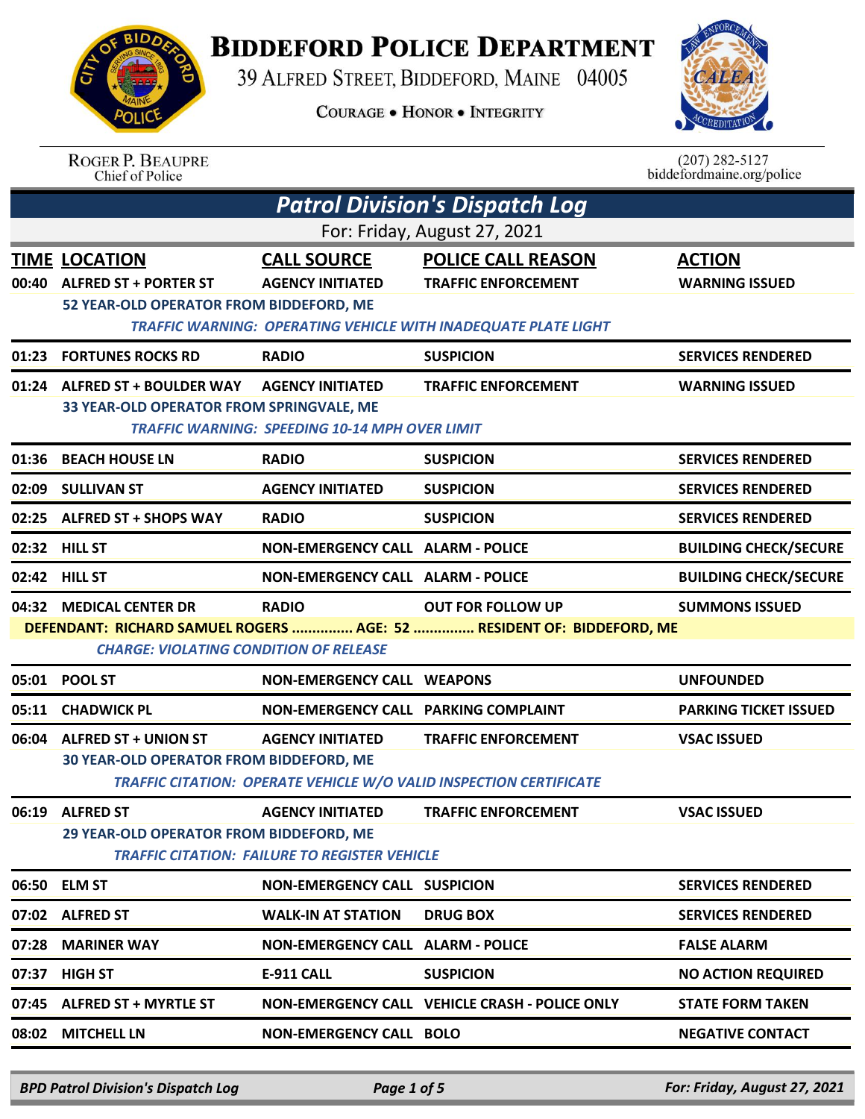**BIDDEFORD POLICE DEPARTMENT** 

39 ALFRED STREET, BIDDEFORD, MAINE 04005

**COURAGE . HONOR . INTEGRITY** 



ROGER P. BEAUPRE<br>Chief of Police

 $(207)$  282-5127<br>biddefordmaine.org/police

|                              | <b>Patrol Division's Dispatch Log</b>                                                                                                                                                                                  |                                                                                  |                                                                                                                                  |                                        |  |
|------------------------------|------------------------------------------------------------------------------------------------------------------------------------------------------------------------------------------------------------------------|----------------------------------------------------------------------------------|----------------------------------------------------------------------------------------------------------------------------------|----------------------------------------|--|
| For: Friday, August 27, 2021 |                                                                                                                                                                                                                        |                                                                                  |                                                                                                                                  |                                        |  |
|                              | <b>TIME LOCATION</b><br>00:40 ALFRED ST + PORTER ST<br>52 YEAR-OLD OPERATOR FROM BIDDEFORD, ME                                                                                                                         | <b>CALL SOURCE</b><br><b>AGENCY INITIATED</b>                                    | <b>POLICE CALL REASON</b><br><b>TRAFFIC ENFORCEMENT</b><br><b>TRAFFIC WARNING: OPERATING VEHICLE WITH INADEQUATE PLATE LIGHT</b> | <b>ACTION</b><br><b>WARNING ISSUED</b> |  |
|                              | 01:23 FORTUNES ROCKS RD                                                                                                                                                                                                | <b>RADIO</b>                                                                     | <b>SUSPICION</b>                                                                                                                 | <b>SERVICES RENDERED</b>               |  |
|                              | 01:24 ALFRED ST + BOULDER WAY<br>33 YEAR-OLD OPERATOR FROM SPRINGVALE, ME                                                                                                                                              | <b>AGENCY INITIATED</b><br><b>TRAFFIC WARNING: SPEEDING 10-14 MPH OVER LIMIT</b> | <b>TRAFFIC ENFORCEMENT</b>                                                                                                       | <b>WARNING ISSUED</b>                  |  |
|                              | 01:36 BEACH HOUSE LN                                                                                                                                                                                                   | <b>RADIO</b>                                                                     | <b>SUSPICION</b>                                                                                                                 | <b>SERVICES RENDERED</b>               |  |
| 02:09                        | <b>SULLIVAN ST</b>                                                                                                                                                                                                     | <b>AGENCY INITIATED</b>                                                          | <b>SUSPICION</b>                                                                                                                 | <b>SERVICES RENDERED</b>               |  |
|                              | 02:25 ALFRED ST + SHOPS WAY                                                                                                                                                                                            | <b>RADIO</b>                                                                     | <b>SUSPICION</b>                                                                                                                 | <b>SERVICES RENDERED</b>               |  |
|                              | 02:32 HILL ST                                                                                                                                                                                                          | <b>NON-EMERGENCY CALL ALARM - POLICE</b>                                         |                                                                                                                                  | <b>BUILDING CHECK/SECURE</b>           |  |
|                              | 02:42 HILL ST                                                                                                                                                                                                          | <b>NON-EMERGENCY CALL ALARM - POLICE</b>                                         |                                                                                                                                  | <b>BUILDING CHECK/SECURE</b>           |  |
|                              | 04:32 MEDICAL CENTER DR<br><b>RADIO</b><br><b>OUT FOR FOLLOW UP</b><br><b>SUMMONS ISSUED</b><br>DEFENDANT: RICHARD SAMUEL ROGERS  AGE: 52  RESIDENT OF: BIDDEFORD, ME<br><b>CHARGE: VIOLATING CONDITION OF RELEASE</b> |                                                                                  |                                                                                                                                  |                                        |  |
|                              | 05:01 POOL ST                                                                                                                                                                                                          | <b>NON-EMERGENCY CALL WEAPONS</b>                                                |                                                                                                                                  | <b>UNFOUNDED</b>                       |  |
|                              | 05:11 CHADWICK PL                                                                                                                                                                                                      | NON-EMERGENCY CALL PARKING COMPLAINT                                             |                                                                                                                                  | <b>PARKING TICKET ISSUED</b>           |  |
|                              | 06:04 ALFRED ST + UNION ST<br>30 YEAR-OLD OPERATOR FROM BIDDEFORD, ME                                                                                                                                                  | <b>AGENCY INITIATED</b>                                                          | <b>TRAFFIC ENFORCEMENT</b><br>TRAFFIC CITATION: OPERATE VEHICLE W/O VALID INSPECTION CERTIFICATE                                 | <b>VSAC ISSUED</b>                     |  |
|                              | 06:19 ALFRED ST<br><b>AGENCY INITIATED</b><br><b>TRAFFIC ENFORCEMENT</b><br><b>VSAC ISSUED</b><br>29 YEAR-OLD OPERATOR FROM BIDDEFORD, ME<br><b>TRAFFIC CITATION: FAILURE TO REGISTER VEHICLE</b>                      |                                                                                  |                                                                                                                                  |                                        |  |
| 06:50                        | <b>ELM ST</b>                                                                                                                                                                                                          | <b>NON-EMERGENCY CALL SUSPICION</b>                                              |                                                                                                                                  | <b>SERVICES RENDERED</b>               |  |
|                              | 07:02 ALFRED ST                                                                                                                                                                                                        | <b>WALK-IN AT STATION</b>                                                        | <b>DRUG BOX</b>                                                                                                                  | <b>SERVICES RENDERED</b>               |  |
| 07:28                        | <b>MARINER WAY</b>                                                                                                                                                                                                     | <b>NON-EMERGENCY CALL ALARM - POLICE</b>                                         |                                                                                                                                  | <b>FALSE ALARM</b>                     |  |
| 07:37                        | <b>HIGH ST</b>                                                                                                                                                                                                         | <b>E-911 CALL</b>                                                                | <b>SUSPICION</b>                                                                                                                 | <b>NO ACTION REQUIRED</b>              |  |
| 07:45                        | <b>ALFRED ST + MYRTLE ST</b>                                                                                                                                                                                           |                                                                                  | NON-EMERGENCY CALL VEHICLE CRASH - POLICE ONLY                                                                                   | <b>STATE FORM TAKEN</b>                |  |
| 08:02                        | <b>MITCHELL LN</b>                                                                                                                                                                                                     | <b>NON-EMERGENCY CALL BOLO</b>                                                   |                                                                                                                                  | <b>NEGATIVE CONTACT</b>                |  |

*BPD Patrol Division's Dispatch Log Page 1 of 5 For: Friday, August 27, 2021*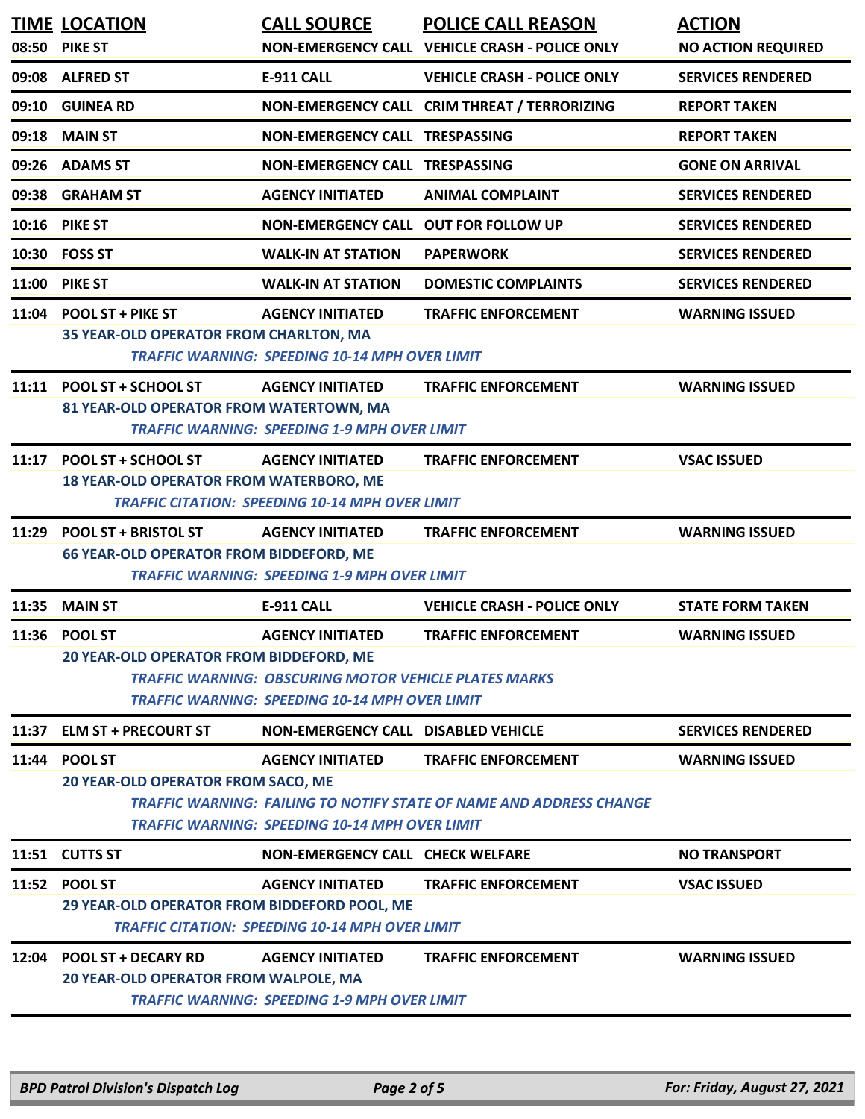|       | <b>TIME LOCATION</b><br>08:50 PIKE ST                                        | <b>CALL SOURCE</b>                                                                                                                               | <b>POLICE CALL REASON</b><br>NON-EMERGENCY CALL VEHICLE CRASH - POLICE ONLY                              | <b>ACTION</b><br><b>NO ACTION REQUIRED</b> |
|-------|------------------------------------------------------------------------------|--------------------------------------------------------------------------------------------------------------------------------------------------|----------------------------------------------------------------------------------------------------------|--------------------------------------------|
|       | 09:08 ALFRED ST                                                              | <b>E-911 CALL</b>                                                                                                                                | <b>VEHICLE CRASH - POLICE ONLY</b>                                                                       | <b>SERVICES RENDERED</b>                   |
|       | 09:10 GUINEA RD                                                              |                                                                                                                                                  | NON-EMERGENCY CALL CRIM THREAT / TERRORIZING                                                             | <b>REPORT TAKEN</b>                        |
|       | 09:18 MAIN ST                                                                | <b>NON-EMERGENCY CALL TRESPASSING</b>                                                                                                            |                                                                                                          | <b>REPORT TAKEN</b>                        |
|       | 09:26 ADAMS ST                                                               | NON-EMERGENCY CALL TRESPASSING                                                                                                                   |                                                                                                          | <b>GONE ON ARRIVAL</b>                     |
|       | 09:38 GRAHAM ST                                                              | <b>AGENCY INITIATED</b>                                                                                                                          | <b>ANIMAL COMPLAINT</b>                                                                                  | <b>SERVICES RENDERED</b>                   |
|       | 10:16 PIKE ST                                                                | NON-EMERGENCY CALL OUT FOR FOLLOW UP                                                                                                             |                                                                                                          | <b>SERVICES RENDERED</b>                   |
|       | 10:30 FOSS ST                                                                | <b>WALK-IN AT STATION</b>                                                                                                                        | <b>PAPERWORK</b>                                                                                         | <b>SERVICES RENDERED</b>                   |
|       | 11:00 PIKE ST                                                                | <b>WALK-IN AT STATION</b>                                                                                                                        | <b>DOMESTIC COMPLAINTS</b>                                                                               | <b>SERVICES RENDERED</b>                   |
|       | 11:04 POOL ST + PIKE ST<br>35 YEAR-OLD OPERATOR FROM CHARLTON, MA            | <b>AGENCY INITIATED</b><br><b>TRAFFIC WARNING: SPEEDING 10-14 MPH OVER LIMIT</b>                                                                 | <b>TRAFFIC ENFORCEMENT</b>                                                                               | <b>WARNING ISSUED</b>                      |
|       | 11:11 POOL ST + SCHOOL ST<br>81 YEAR-OLD OPERATOR FROM WATERTOWN, MA         | <b>AGENCY INITIATED</b><br><b>TRAFFIC WARNING: SPEEDING 1-9 MPH OVER LIMIT</b>                                                                   | <b>TRAFFIC ENFORCEMENT</b>                                                                               | <b>WARNING ISSUED</b>                      |
|       | 11:17 POOL ST + SCHOOL ST<br>18 YEAR-OLD OPERATOR FROM WATERBORO, ME         | <b>AGENCY INITIATED</b><br><b>TRAFFIC CITATION: SPEEDING 10-14 MPH OVER LIMIT</b>                                                                | <b>TRAFFIC ENFORCEMENT</b>                                                                               | <b>VSAC ISSUED</b>                         |
|       | 11:29 POOL ST + BRISTOL ST<br><b>66 YEAR-OLD OPERATOR FROM BIDDEFORD, ME</b> | <b>AGENCY INITIATED</b><br><b>TRAFFIC WARNING: SPEEDING 1-9 MPH OVER LIMIT</b>                                                                   | <b>TRAFFIC ENFORCEMENT</b>                                                                               | <b>WARNING ISSUED</b>                      |
| 11:35 | <b>MAIN ST</b>                                                               | <b>E-911 CALL</b>                                                                                                                                | <b>VEHICLE CRASH - POLICE ONLY</b>                                                                       | <b>STATE FORM TAKEN</b>                    |
|       | 11:36 POOL ST<br>20 YEAR-OLD OPERATOR FROM BIDDEFORD, ME                     | <b>AGENCY INITIATED</b><br><b>TRAFFIC WARNING: OBSCURING MOTOR VEHICLE PLATES MARKS</b><br><b>TRAFFIC WARNING: SPEEDING 10-14 MPH OVER LIMIT</b> | <b>TRAFFIC ENFORCEMENT</b>                                                                               | <b>WARNING ISSUED</b>                      |
|       | 11:37 ELM ST + PRECOURT ST                                                   | <b>NON-EMERGENCY CALL DISABLED VEHICLE</b>                                                                                                       |                                                                                                          | <b>SERVICES RENDERED</b>                   |
|       | 11:44 POOL ST<br><b>20 YEAR-OLD OPERATOR FROM SACO, ME</b>                   | <b>AGENCY INITIATED</b><br><b>TRAFFIC WARNING: SPEEDING 10-14 MPH OVER LIMIT</b>                                                                 | <b>TRAFFIC ENFORCEMENT</b><br><b>TRAFFIC WARNING: FAILING TO NOTIFY STATE OF NAME AND ADDRESS CHANGE</b> | <b>WARNING ISSUED</b>                      |
|       | 11:51 CUTTS ST                                                               | <b>NON-EMERGENCY CALL CHECK WELFARE</b>                                                                                                          |                                                                                                          | <b>NO TRANSPORT</b>                        |
|       | 11:52 POOL ST<br>29 YEAR-OLD OPERATOR FROM BIDDEFORD POOL, ME                | <b>AGENCY INITIATED</b><br><b>TRAFFIC CITATION: SPEEDING 10-14 MPH OVER LIMIT</b>                                                                | <b>TRAFFIC ENFORCEMENT</b>                                                                               | <b>VSAC ISSUED</b>                         |
|       | 12:04 POOL ST + DECARY RD<br>20 YEAR-OLD OPERATOR FROM WALPOLE, MA           | <b>AGENCY INITIATED</b><br><b>TRAFFIC WARNING: SPEEDING 1-9 MPH OVER LIMIT</b>                                                                   | <b>TRAFFIC ENFORCEMENT</b>                                                                               | <b>WARNING ISSUED</b>                      |

*BPD Patrol Division's Dispatch Log Page 2 of 5 For: Friday, August 27, 2021*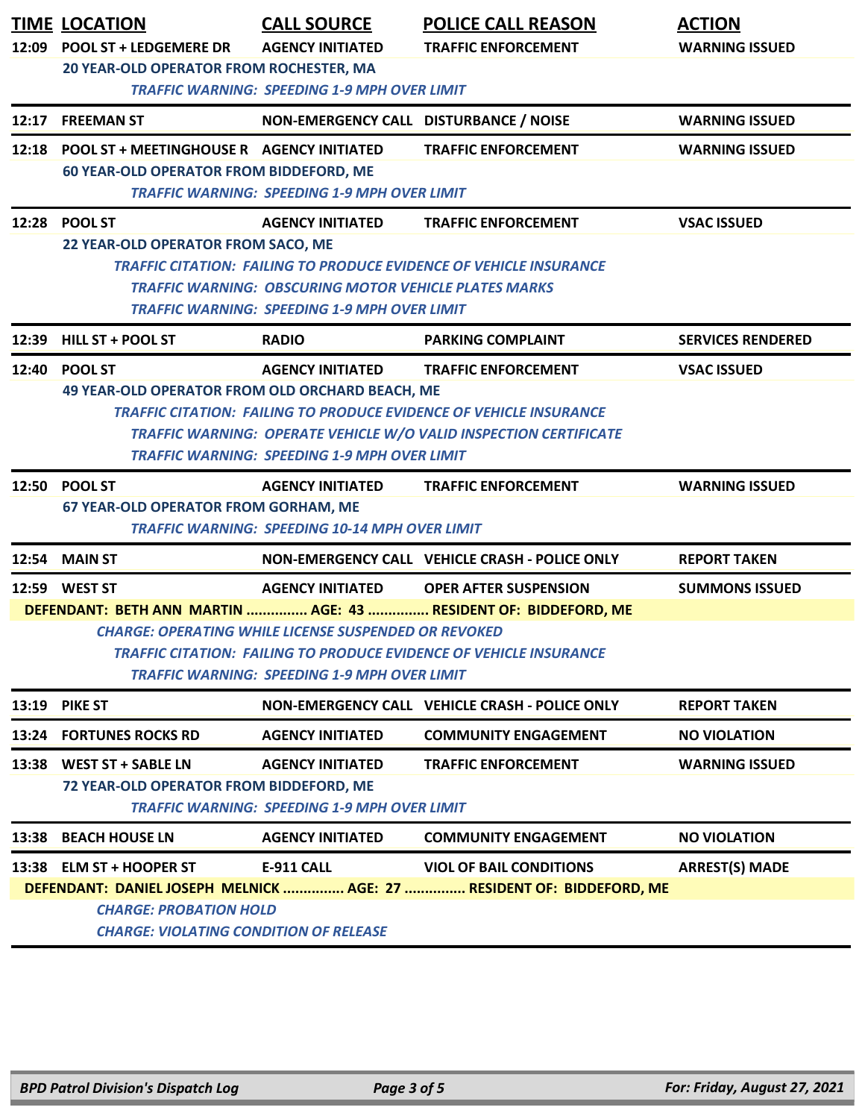| 12:09                                                                     | <b>TIME LOCATION</b><br><b>POOL ST + LEDGEMERE DR</b>                    | <b>CALL SOURCE</b><br><b>AGENCY INITIATED</b>                | <b>POLICE CALL REASON</b><br><b>TRAFFIC ENFORCEMENT</b>                   | <b>ACTION</b><br><b>WARNING ISSUED</b> |  |  |
|---------------------------------------------------------------------------|--------------------------------------------------------------------------|--------------------------------------------------------------|---------------------------------------------------------------------------|----------------------------------------|--|--|
|                                                                           | 20 YEAR-OLD OPERATOR FROM ROCHESTER, MA                                  |                                                              |                                                                           |                                        |  |  |
|                                                                           | <b>TRAFFIC WARNING: SPEEDING 1-9 MPH OVER LIMIT</b>                      |                                                              |                                                                           |                                        |  |  |
|                                                                           | 12:17 FREEMAN ST                                                         | NON-EMERGENCY CALL DISTURBANCE / NOISE                       |                                                                           | <b>WARNING ISSUED</b>                  |  |  |
| 12:18                                                                     | <b>POOL ST + MEETINGHOUSE R AGENCY INITIATED</b>                         |                                                              | <b>TRAFFIC ENFORCEMENT</b>                                                | <b>WARNING ISSUED</b>                  |  |  |
|                                                                           | <b>60 YEAR-OLD OPERATOR FROM BIDDEFORD, ME</b>                           |                                                              |                                                                           |                                        |  |  |
|                                                                           |                                                                          | <b>TRAFFIC WARNING: SPEEDING 1-9 MPH OVER LIMIT</b>          |                                                                           |                                        |  |  |
|                                                                           | 12:28 POOL ST<br>22 YEAR-OLD OPERATOR FROM SACO, ME                      | <b>AGENCY INITIATED</b>                                      | <b>TRAFFIC ENFORCEMENT</b>                                                | <b>VSAC ISSUED</b>                     |  |  |
|                                                                           |                                                                          |                                                              | <b>TRAFFIC CITATION: FAILING TO PRODUCE EVIDENCE OF VEHICLE INSURANCE</b> |                                        |  |  |
|                                                                           |                                                                          | <b>TRAFFIC WARNING: OBSCURING MOTOR VEHICLE PLATES MARKS</b> |                                                                           |                                        |  |  |
|                                                                           |                                                                          | <b>TRAFFIC WARNING: SPEEDING 1-9 MPH OVER LIMIT</b>          |                                                                           |                                        |  |  |
|                                                                           | 12:39 HILL ST + POOL ST                                                  | <b>RADIO</b>                                                 | <b>PARKING COMPLAINT</b>                                                  | <b>SERVICES RENDERED</b>               |  |  |
| 12:40                                                                     | <b>POOL ST</b>                                                           | <b>AGENCY INITIATED</b>                                      | <b>TRAFFIC ENFORCEMENT</b>                                                | <b>VSAC ISSUED</b>                     |  |  |
|                                                                           | 49 YEAR-OLD OPERATOR FROM OLD ORCHARD BEACH, ME                          |                                                              |                                                                           |                                        |  |  |
| <b>TRAFFIC CITATION: FAILING TO PRODUCE EVIDENCE OF VEHICLE INSURANCE</b> |                                                                          |                                                              |                                                                           |                                        |  |  |
|                                                                           | <b>TRAFFIC WARNING: OPERATE VEHICLE W/O VALID INSPECTION CERTIFICATE</b> |                                                              |                                                                           |                                        |  |  |
|                                                                           | <b>TRAFFIC WARNING: SPEEDING 1-9 MPH OVER LIMIT</b>                      |                                                              |                                                                           |                                        |  |  |
|                                                                           | 12:50 POOL ST                                                            | <b>AGENCY INITIATED</b>                                      | <b>TRAFFIC ENFORCEMENT</b>                                                | <b>WARNING ISSUED</b>                  |  |  |
|                                                                           | <b>67 YEAR-OLD OPERATOR FROM GORHAM, ME</b>                              | <b>TRAFFIC WARNING: SPEEDING 10-14 MPH OVER LIMIT</b>        |                                                                           |                                        |  |  |
|                                                                           | <b>12:54 MAIN ST</b>                                                     |                                                              | NON-EMERGENCY CALL VEHICLE CRASH - POLICE ONLY                            | <b>REPORT TAKEN</b>                    |  |  |
|                                                                           | 12:59 WEST ST                                                            | <b>AGENCY INITIATED</b>                                      | <b>OPER AFTER SUSPENSION</b>                                              | <b>SUMMONS ISSUED</b>                  |  |  |
|                                                                           |                                                                          |                                                              | DEFENDANT: BETH ANN MARTIN  AGE: 43  RESIDENT OF: BIDDEFORD, ME           |                                        |  |  |
|                                                                           |                                                                          | <b>CHARGE: OPERATING WHILE LICENSE SUSPENDED OR REVOKED</b>  |                                                                           |                                        |  |  |
|                                                                           |                                                                          |                                                              | <b>TRAFFIC CITATION: FAILING TO PRODUCE EVIDENCE OF VEHICLE INSURANCE</b> |                                        |  |  |
|                                                                           | <b>TRAFFIC WARNING: SPEEDING 1-9 MPH OVER LIMIT</b>                      |                                                              |                                                                           |                                        |  |  |
|                                                                           | 13:19 PIKE ST                                                            |                                                              | NON-EMERGENCY CALL VEHICLE CRASH - POLICE ONLY                            | <b>REPORT TAKEN</b>                    |  |  |
|                                                                           | <b>13:24 FORTUNES ROCKS RD</b>                                           | <b>AGENCY INITIATED</b>                                      | <b>COMMUNITY ENGAGEMENT</b>                                               | <b>NO VIOLATION</b>                    |  |  |
| 13:38                                                                     | <b>WEST ST + SABLE LN</b>                                                | <b>AGENCY INITIATED</b>                                      | <b>TRAFFIC ENFORCEMENT</b>                                                | <b>WARNING ISSUED</b>                  |  |  |
|                                                                           | 72 YEAR-OLD OPERATOR FROM BIDDEFORD, ME                                  |                                                              |                                                                           |                                        |  |  |
| <b>TRAFFIC WARNING: SPEEDING 1-9 MPH OVER LIMIT</b>                       |                                                                          |                                                              |                                                                           |                                        |  |  |
| 13:38                                                                     | <b>BEACH HOUSE LN</b>                                                    | <b>AGENCY INITIATED</b>                                      | <b>COMMUNITY ENGAGEMENT</b>                                               | <b>NO VIOLATION</b>                    |  |  |
|                                                                           | 13:38 ELM ST + HOOPER ST                                                 | <b>E-911 CALL</b>                                            | <b>VIOL OF BAIL CONDITIONS</b>                                            | <b>ARREST(S) MADE</b>                  |  |  |
|                                                                           | DEFENDANT: DANIEL JOSEPH MELNICK  AGE: 27  RESIDENT OF: BIDDEFORD, ME    |                                                              |                                                                           |                                        |  |  |
|                                                                           | <b>CHARGE: PROBATION HOLD</b>                                            |                                                              |                                                                           |                                        |  |  |
|                                                                           | <b>CHARGE: VIOLATING CONDITION OF RELEASE</b>                            |                                                              |                                                                           |                                        |  |  |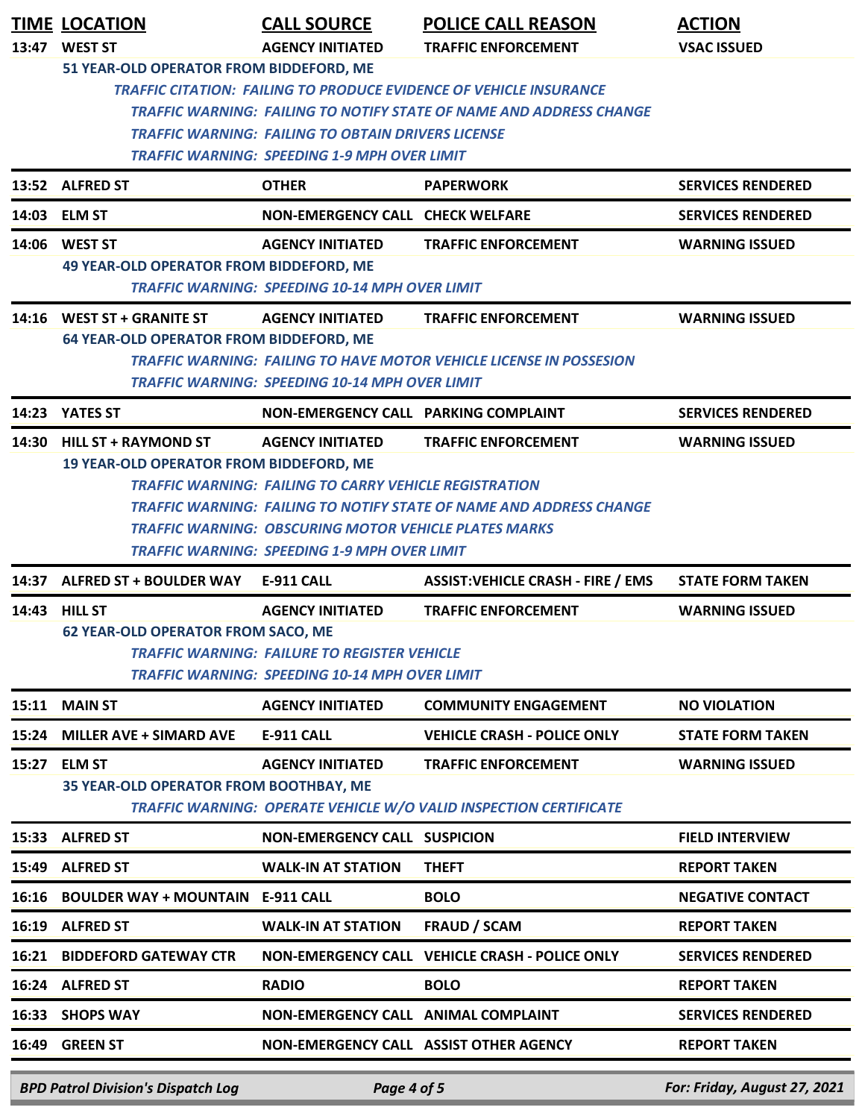|       | <b>TIME LOCATION</b><br>13:47 WEST ST                                                                                                                                                                                                                                                                                  | <b>CALL SOURCE</b><br><b>AGENCY INITIATED</b>                                                                                           | <b>POLICE CALL REASON</b><br><b>TRAFFIC ENFORCEMENT</b>                                                  | <b>ACTION</b><br><b>VSAC ISSUED</b> |  |
|-------|------------------------------------------------------------------------------------------------------------------------------------------------------------------------------------------------------------------------------------------------------------------------------------------------------------------------|-----------------------------------------------------------------------------------------------------------------------------------------|----------------------------------------------------------------------------------------------------------|-------------------------------------|--|
|       | 51 YEAR-OLD OPERATOR FROM BIDDEFORD, ME<br><b>TRAFFIC CITATION: FAILING TO PRODUCE EVIDENCE OF VEHICLE INSURANCE</b><br><b>TRAFFIC WARNING: FAILING TO NOTIFY STATE OF NAME AND ADDRESS CHANGE</b><br><b>TRAFFIC WARNING: FAILING TO OBTAIN DRIVERS LICENSE</b><br><b>TRAFFIC WARNING: SPEEDING 1-9 MPH OVER LIMIT</b> |                                                                                                                                         |                                                                                                          |                                     |  |
|       | 13:52 ALFRED ST                                                                                                                                                                                                                                                                                                        | <b>OTHER</b>                                                                                                                            | <b>PAPERWORK</b>                                                                                         | <b>SERVICES RENDERED</b>            |  |
|       | 14:03 ELM ST                                                                                                                                                                                                                                                                                                           | NON-EMERGENCY CALL CHECK WELFARE                                                                                                        |                                                                                                          | <b>SERVICES RENDERED</b>            |  |
|       | 14:06 WEST ST<br><b>49 YEAR-OLD OPERATOR FROM BIDDEFORD, ME</b>                                                                                                                                                                                                                                                        | <b>AGENCY INITIATED</b><br><b>TRAFFIC WARNING: SPEEDING 10-14 MPH OVER LIMIT</b>                                                        | <b>TRAFFIC ENFORCEMENT</b>                                                                               | <b>WARNING ISSUED</b>               |  |
|       | 14:16 WEST ST + GRANITE ST<br>64 YEAR-OLD OPERATOR FROM BIDDEFORD, ME                                                                                                                                                                                                                                                  | <b>AGENCY INITIATED</b><br><b>TRAFFIC WARNING: SPEEDING 10-14 MPH OVER LIMIT</b>                                                        | <b>TRAFFIC ENFORCEMENT</b><br><b>TRAFFIC WARNING: FAILING TO HAVE MOTOR VEHICLE LICENSE IN POSSESION</b> | <b>WARNING ISSUED</b>               |  |
|       | 14:23 YATES ST                                                                                                                                                                                                                                                                                                         | NON-EMERGENCY CALL PARKING COMPLAINT                                                                                                    |                                                                                                          | <b>SERVICES RENDERED</b>            |  |
| 14:30 | <b>HILL ST + RAYMOND ST</b><br>19 YEAR-OLD OPERATOR FROM BIDDEFORD, ME                                                                                                                                                                                                                                                 | <b>AGENCY INITIATED</b>                                                                                                                 | <b>TRAFFIC ENFORCEMENT</b>                                                                               | <b>WARNING ISSUED</b>               |  |
|       | <b>TRAFFIC WARNING: FAILING TO CARRY VEHICLE REGISTRATION</b><br>TRAFFIC WARNING: FAILING TO NOTIFY STATE OF NAME AND ADDRESS CHANGE<br><b>TRAFFIC WARNING: OBSCURING MOTOR VEHICLE PLATES MARKS</b><br><b>TRAFFIC WARNING: SPEEDING 1-9 MPH OVER LIMIT</b>                                                            |                                                                                                                                         |                                                                                                          |                                     |  |
|       | 14:37 ALFRED ST + BOULDER WAY                                                                                                                                                                                                                                                                                          | <b>E-911 CALL</b>                                                                                                                       | <b>ASSIST:VEHICLE CRASH - FIRE / EMS</b>                                                                 | <b>STATE FORM TAKEN</b>             |  |
| 14:43 | <b>HILL ST</b><br><b>62 YEAR-OLD OPERATOR FROM SACO, ME</b>                                                                                                                                                                                                                                                            | <b>AGENCY INITIATED</b><br><b>TRAFFIC WARNING: FAILURE TO REGISTER VEHICLE</b><br><b>TRAFFIC WARNING: SPEEDING 10-14 MPH OVER LIMIT</b> | <b>TRAFFIC ENFORCEMENT</b>                                                                               | <b>WARNING ISSUED</b>               |  |
|       | 15:11 MAIN ST                                                                                                                                                                                                                                                                                                          | <b>AGENCY INITIATED</b>                                                                                                                 | <b>COMMUNITY ENGAGEMENT</b>                                                                              | <b>NO VIOLATION</b>                 |  |
| 15:24 | <b>MILLER AVE + SIMARD AVE</b>                                                                                                                                                                                                                                                                                         | <b>E-911 CALL</b>                                                                                                                       | <b>VEHICLE CRASH - POLICE ONLY</b>                                                                       | <b>STATE FORM TAKEN</b>             |  |
| 15:27 | <b>ELM ST</b><br>35 YEAR-OLD OPERATOR FROM BOOTHBAY, ME                                                                                                                                                                                                                                                                | <b>AGENCY INITIATED</b>                                                                                                                 | <b>TRAFFIC ENFORCEMENT</b><br><b>TRAFFIC WARNING: OPERATE VEHICLE W/O VALID INSPECTION CERTIFICATE</b>   | <b>WARNING ISSUED</b>               |  |
| 15:33 | <b>ALFRED ST</b>                                                                                                                                                                                                                                                                                                       | <b>NON-EMERGENCY CALL SUSPICION</b>                                                                                                     |                                                                                                          | <b>FIELD INTERVIEW</b>              |  |
| 15:49 | <b>ALFRED ST</b>                                                                                                                                                                                                                                                                                                       | <b>WALK-IN AT STATION</b>                                                                                                               | <b>THEFT</b>                                                                                             | <b>REPORT TAKEN</b>                 |  |
| 16:16 | <b>BOULDER WAY + MOUNTAIN E-911 CALL</b>                                                                                                                                                                                                                                                                               |                                                                                                                                         | <b>BOLO</b>                                                                                              | <b>NEGATIVE CONTACT</b>             |  |
| 16:19 | <b>ALFRED ST</b>                                                                                                                                                                                                                                                                                                       | <b>WALK-IN AT STATION</b>                                                                                                               | <b>FRAUD / SCAM</b>                                                                                      | <b>REPORT TAKEN</b>                 |  |
| 16:21 | <b>BIDDEFORD GATEWAY CTR</b>                                                                                                                                                                                                                                                                                           |                                                                                                                                         | NON-EMERGENCY CALL VEHICLE CRASH - POLICE ONLY                                                           | <b>SERVICES RENDERED</b>            |  |
| 16:24 | <b>ALFRED ST</b>                                                                                                                                                                                                                                                                                                       | <b>RADIO</b>                                                                                                                            | <b>BOLO</b>                                                                                              | <b>REPORT TAKEN</b>                 |  |
| 16:33 | <b>SHOPS WAY</b>                                                                                                                                                                                                                                                                                                       | NON-EMERGENCY CALL ANIMAL COMPLAINT                                                                                                     |                                                                                                          | <b>SERVICES RENDERED</b>            |  |
| 16:49 | <b>GREEN ST</b>                                                                                                                                                                                                                                                                                                        |                                                                                                                                         | NON-EMERGENCY CALL ASSIST OTHER AGENCY                                                                   | <b>REPORT TAKEN</b>                 |  |
|       | <b>BPD Patrol Division's Dispatch Log</b>                                                                                                                                                                                                                                                                              | Page 4 of 5                                                                                                                             |                                                                                                          | For: Friday, August 27, 2021        |  |